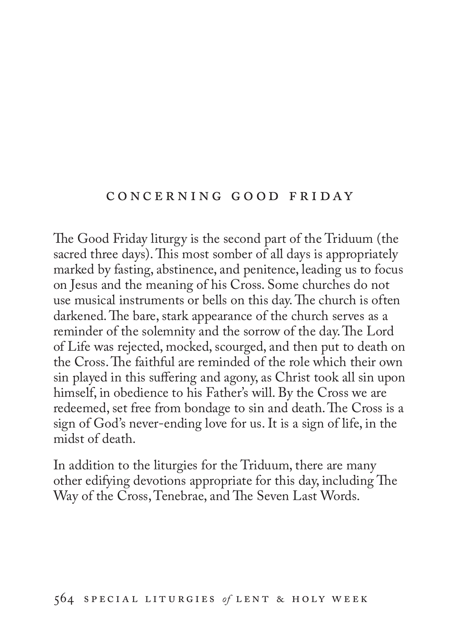### c o n c e r n i n g g o o d f r i d ay

The Good Friday liturgy is the second part of the Triduum (the sacred three days). This most somber of all days is appropriately marked by fasting, abstinence, and penitence, leading us to focus on Jesus and the meaning of his Cross. Some churches do not use musical instruments or bells on this day. The church is often darkened. The bare, stark appearance of the church serves as a reminder of the solemnity and the sorrow of the day. The Lord of Life was rejected, mocked, scourged, and then put to death on the Cross. The faithful are reminded of the role which their own sin played in this suffering and agony, as Christ took all sin upon himself, in obedience to his Father's will. By the Cross we are redeemed, set free from bondage to sin and death. The Cross is a sign of God's never-ending love for us. It is a sign of life, in the midst of death.

In addition to the liturgies for the Triduum, there are many other edifying devotions appropriate for this day, including The Way of the Cross, Tenebrae, and The Seven Last Words.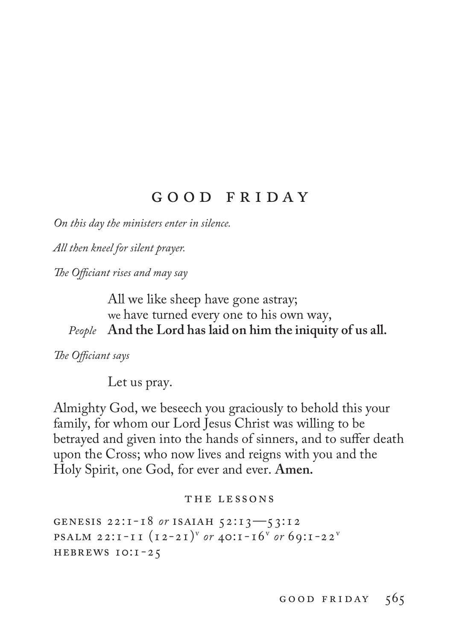# g o o d f r i d a y

*On this day the ministers enter in silence.*

*All then kneel for silent prayer.*

*The Officiant rises and may say*

All we like sheep have gone astray; we have turned every one to his own way, *People* **And the Lord has laid on him the iniquity of us all.**

*The Officiant says*

Let us pray.

Almighty God, we beseech you graciously to behold this your family, for whom our Lord Jesus Christ was willing to be betrayed and given into the hands of sinners, and to suffer death upon the Cross; who now lives and reigns with you and the Holy Spirit, one God, for ever and ever. **Amen.**

#### THE LESSONS

genesis 22:1-18 *or* isaiah 52:13—53:12 **PSALM 22:1-11**  $(12-21)^{v}$  *or*  $40:1-16^{v}$  *or*  $69:1-22^{v}$ hebrews 10:1-25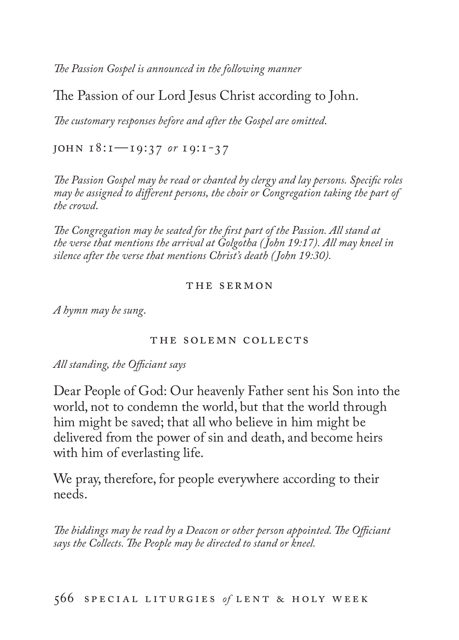*The Passion Gospel is announced in the following manner*

The Passion of our Lord Jesus Christ according to John.

*The customary responses before and after the Gospel are omitted*.

john 18:1—19:37 *or* 19:1-37

*The Passion Gospel may be read or chanted by clergy and lay persons. Specific roles may be assigned to different persons, the choir or Congregation taking the part of the crowd*.

*The Congregation may be seated for the first part of the Passion. All stand at the verse that mentions the arrival at Golgotha ( John 19:17). All may kneel in silence after the verse that mentions Christ's death ( John 19:30).*

#### THE SERMON

*A hymn may be sung*.

#### the solemn collects

#### *All standing, the Officiant says*

Dear People of God: Our heavenly Father sent his Son into the world, not to condemn the world, but that the world through him might be saved; that all who believe in him might be delivered from the power of sin and death, and become heirs with him of everlasting life.

We pray, therefore, for people everywhere according to their needs.

*The biddings may be read by a Deacon or other person appointed. The Officiant says the Collects. The People may be directed to stand or kneel.*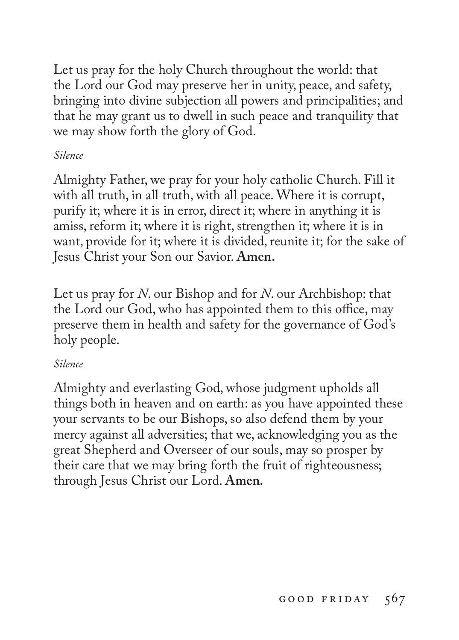Let us pray for the holy Church throughout the world: that the Lord our God may preserve her in unity, peace, and safety, bringing into divine subjection all powers and principalities; and that he may grant us to dwell in such peace and tranquility that we may show forth the glory of God.

## *Silence*

Almighty Father, we pray for your holy catholic Church. Fill it with all truth, in all truth, with all peace. Where it is corrupt, purify it; where it is in error, direct it; where in anything it is amiss, reform it; where it is right, strengthen it; where it is in want, provide for it; where it is divided, reunite it; for the sake of Jesus Christ your Son our Savior. **Amen.**

Let us pray for *N*. our Bishop and for *N*. our Archbishop: that the Lord our God, who has appointed them to this office, may preserve them in health and safety for the governance of God's holy people.

## *Silence*

Almighty and everlasting God, whose judgment upholds all things both in heaven and on earth: as you have appointed these your servants to be our Bishops, so also defend them by your mercy against all adversities; that we, acknowledging you as the great Shepherd and Overseer of our souls, may so prosper by their care that we may bring forth the fruit of righteousness; through Jesus Christ our Lord. **Amen.**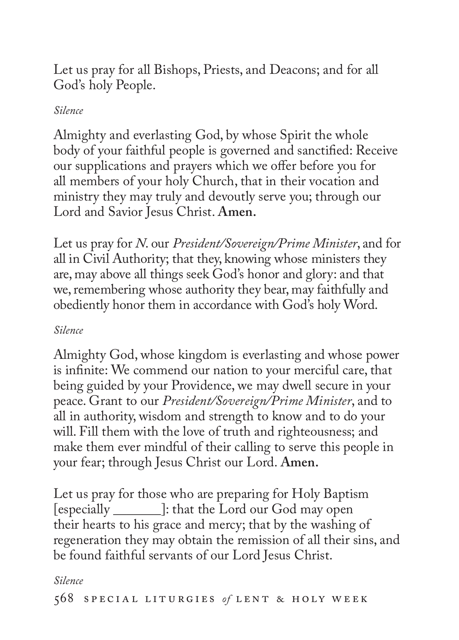Let us pray for all Bishops, Priests, and Deacons; and for all God's holy People.

## *Silence*

Almighty and everlasting God, by whose Spirit the whole body of your faithful people is governed and sanctified: Receive our supplications and prayers which we offer before you for all members of your holy Church, that in their vocation and ministry they may truly and devoutly serve you; through our Lord and Savior Jesus Christ. **Amen.**

Let us pray for *N*. our *President/Sovereign/Prime Minister*, and for all in Civil Authority; that they, knowing whose ministers they are, may above all things seek God's honor and glory: and that we, remembering whose authority they bear, may faithfully and obediently honor them in accordance with God's holy Word.

## *Silence*

Almighty God, whose kingdom is everlasting and whose power is infinite: We commend our nation to your merciful care, that being guided by your Providence, we may dwell secure in your peace. Grant to our *President/Sovereign/Prime Minister*, and to all in authority, wisdom and strength to know and to do your will. Fill them with the love of truth and righteousness; and make them ever mindful of their calling to serve this people in your fear; through Jesus Christ our Lord. **Amen.**

Let us pray for those who are preparing for Holy Baptism [especially \_\_\_\_\_\_\_]: that the Lord our God may open their hearts to his grace and mercy; that by the washing of regeneration they may obtain the remission of all their sins, and be found faithful servants of our Lord Jesus Christ.

### *Silence*

568 SPECIAL LITURGIES of LENT & HOLY WEEK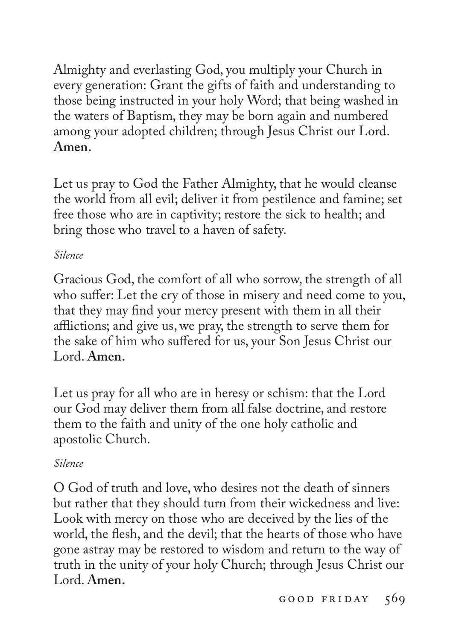Almighty and everlasting God, you multiply your Church in every generation: Grant the gifts of faith and understanding to those being instructed in your holy Word; that being washed in the waters of Baptism, they may be born again and numbered among your adopted children; through Jesus Christ our Lord. **Amen.**

Let us pray to God the Father Almighty, that he would cleanse the world from all evil; deliver it from pestilence and famine; set free those who are in captivity; restore the sick to health; and bring those who travel to a haven of safety.

## *Silence*

Gracious God, the comfort of all who sorrow, the strength of all who suffer: Let the cry of those in misery and need come to you, that they may find your mercy present with them in all their afflictions; and give us, we pray, the strength to serve them for the sake of him who suffered for us, your Son Jesus Christ our Lord. **Amen.**

Let us pray for all who are in heresy or schism: that the Lord our God may deliver them from all false doctrine, and restore them to the faith and unity of the one holy catholic and apostolic Church.

## *Silence*

O God of truth and love, who desires not the death of sinners but rather that they should turn from their wickedness and live: Look with mercy on those who are deceived by the lies of the world, the flesh, and the devil; that the hearts of those who have gone astray may be restored to wisdom and return to the way of truth in the unity of your holy Church; through Jesus Christ our Lord. **Amen.**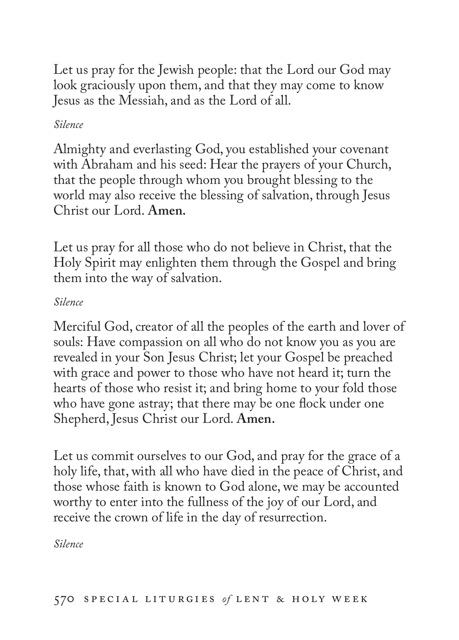Let us pray for the Jewish people: that the Lord our God may look graciously upon them, and that they may come to know Jesus as the Messiah, and as the Lord of all.

## *Silence*

Almighty and everlasting God, you established your covenant with Abraham and his seed: Hear the prayers of your Church, that the people through whom you brought blessing to the world may also receive the blessing of salvation, through Jesus Christ our Lord. **Amen.**

Let us pray for all those who do not believe in Christ, that the Holy Spirit may enlighten them through the Gospel and bring them into the way of salvation.

## *Silence*

Merciful God, creator of all the peoples of the earth and lover of souls: Have compassion on all who do not know you as you are revealed in your Son Jesus Christ; let your Gospel be preached with grace and power to those who have not heard it; turn the hearts of those who resist it; and bring home to your fold those who have gone astray; that there may be one flock under one Shepherd, Jesus Christ our Lord. **Amen.**

Let us commit ourselves to our God, and pray for the grace of a holy life, that, with all who have died in the peace of Christ, and those whose faith is known to God alone, we may be accounted worthy to enter into the fullness of the joy of our Lord, and receive the crown of life in the day of resurrection.

*Silence*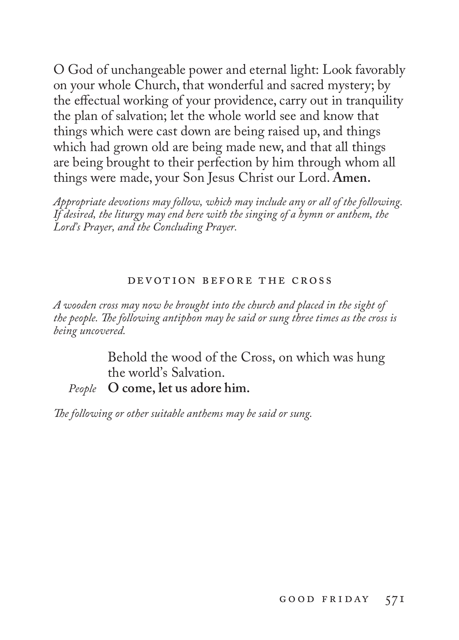O God of unchangeable power and eternal light: Look favorably on your whole Church, that wonderful and sacred mystery; by the effectual working of your providence, carry out in tranquility the plan of salvation; let the whole world see and know that things which were cast down are being raised up, and things which had grown old are being made new, and that all things are being brought to their perfection by him through whom all things were made, your Son Jesus Christ our Lord. **Amen.**

*Appropriate devotions may follow, which may include any or all of the following. If desired, the liturgy may end here with the singing of a hymn or anthem, the Lord's Prayer, and the Concluding Prayer.*

#### devotion before the cross

*A wooden cross may now be brought into the church and placed in the sight of the people. The following antiphon may be said or sung three times as the cross is being uncovered.*

> Behold the wood of the Cross, on which was hung the world's Salvation.

*People* **O come, let us adore him.**

*The following or other suitable anthems may be said or sung.*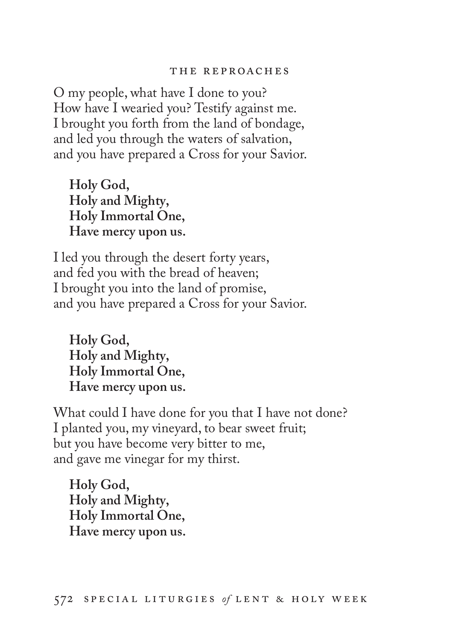O my people, what have I done to you? How have I wearied you? Testify against me. I brought you forth from the land of bondage, and led you through the waters of salvation, and you have prepared a Cross for your Savior.

**Holy God, Holy and Mighty, Holy Immortal One, Have mercy upon us.**

I led you through the desert forty years, and fed you with the bread of heaven; I brought you into the land of promise, and you have prepared a Cross for your Savior.

**Holy God, Holy and Mighty, Holy Immortal One, Have mercy upon us.**

What could I have done for you that I have not done? I planted you, my vineyard, to bear sweet fruit; but you have become very bitter to me, and gave me vinegar for my thirst.

**Holy God, Holy and Mighty, Holy Immortal One, Have mercy upon us.**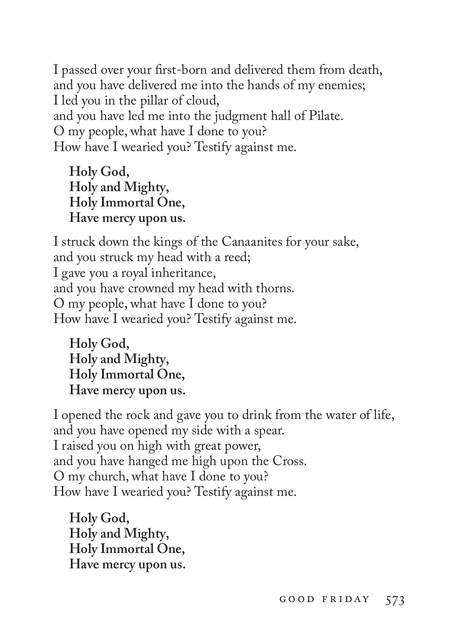I passed over your first-born and delivered them from death, and you have delivered me into the hands of my enemies; I led you in the pillar of cloud, and you have led me into the judgment hall of Pilate. O my people, what have I done to you? How have I wearied you? Testify against me.

**Holy God, Holy and Mighty, Holy Immortal One, Have mercy upon us.**

I struck down the kings of the Canaanites for your sake, and you struck my head with a reed; I gave you a royal inheritance, and you have crowned my head with thorns. O my people, what have I done to you? How have I wearied you? Testify against me.

**Holy God, Holy and Mighty, Holy Immortal One, Have mercy upon us.**

I opened the rock and gave you to drink from the water of life, and you have opened my side with a spear. I raised you on high with great power, and you have hanged me high upon the Cross. O my church, what have I done to you? How have I wearied you? Testify against me.

**Holy God, Holy and Mighty, Holy Immortal One, Have mercy upon us.**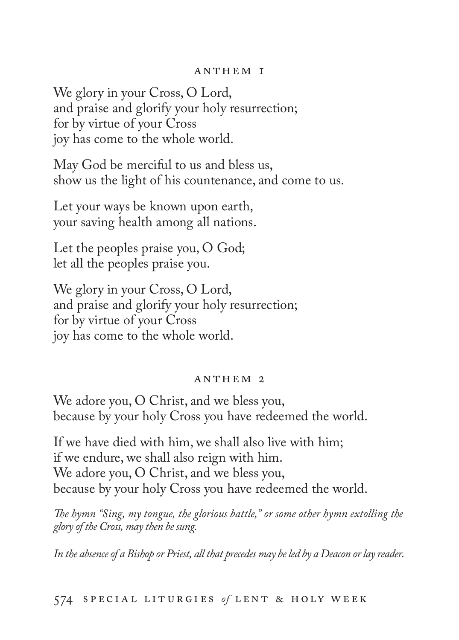#### anthem 1

We glory in your Cross, O Lord, and praise and glorify your holy resurrection; for by virtue of your Cross joy has come to the whole world.

May God be merciful to us and bless us, show us the light of his countenance, and come to us.

Let your ways be known upon earth, your saving health among all nations.

Let the peoples praise you, O God; let all the peoples praise you.

We glory in your Cross, O Lord, and praise and glorify your holy resurrection; for by virtue of your Cross joy has come to the whole world.

#### ANTHEM 2

We adore you, O Christ, and we bless you, because by your holy Cross you have redeemed the world.

If we have died with him, we shall also live with him; if we endure, we shall also reign with him. We adore you, O Christ, and we bless you, because by your holy Cross you have redeemed the world.

*The hymn "Sing, my tongue, the glorious battle," or some other hymn extolling the glory of the Cross, may then be sung.*

*In the absence of a Bishop or Priest, all that precedes may be led by a Deacon or lay reader.*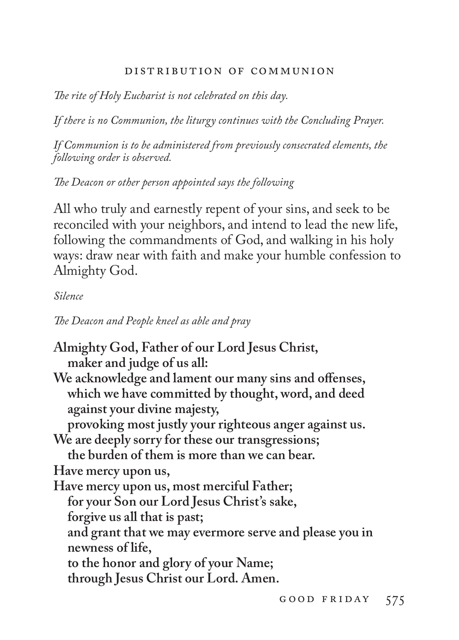### distribution of communion

*The rite of Holy Eucharist is not celebrated on this day.* 

*If there is no Communion, the liturgy continues with the Concluding Prayer.* 

*If Communion is to be administered from previously consecrated elements, the following order is observed.* 

*The Deacon or other person appointed says the following*

All who truly and earnestly repent of your sins, and seek to be reconciled with your neighbors, and intend to lead the new life, following the commandments of God, and walking in his holy ways: draw near with faith and make your humble confession to Almighty God.

### *Silence*

*The Deacon and People kneel as able and pray*

**Almighty God, Father of our Lord Jesus Christ, maker and judge of us all: We acknowledge and lament our many sins and offenses, which we have committed by thought, word, and deed against your divine majesty, provoking most justly your righteous anger against us. We are deeply sorry for these our transgressions; the burden of them is more than we can bear. Have mercy upon us, Have mercy upon us, most merciful Father; for your Son our Lord Jesus Christ's sake, forgive us all that is past; and grant that we may evermore serve and please you in newness of life, to the honor and glory of your Name; through Jesus Christ our Lord. Amen.**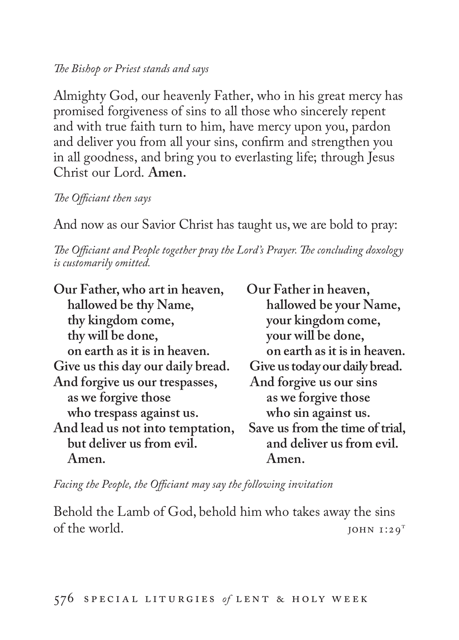### *The Bishop or Priest stands and says*

Almighty God, our heavenly Father, who in his great mercy has promised forgiveness of sins to all those who sincerely repent and with true faith turn to him, have mercy upon you, pardon and deliver you from all your sins, confirm and strengthen you in all goodness, and bring you to everlasting life; through Jesus Christ our Lord. **Amen.**

*The Officiant then says*

And now as our Savior Christ has taught us, we are bold to pray:

*The Officiant and People together pray the Lord's Prayer. The concluding doxology is customarily omitted.* 

**Our Father, who art in heaven, Our Father in heaven, hallowed be thy Name,**<br>thy kingdom come,<br>your kingdom come,<br> $\frac{1}{2}$ thy will be done, on earth as it is in heaven.<br> **on earth as it is in heaven.**<br> **on earth as it is in heaven.**<br> **Give us today our daily bread.** Give us this day our daily bread. Give us today our daily b:<br>And forgive us our trespasses, And forgive us our sins And forgive us our trespasses,<br>as we forgive those **who trespass against us. who sin against us.** And lead us not into temptation,<br>but deliver us from evil. but deliver us from evil.<br>Amen.<br>Amen.<br>Amen. **Amen. Amen.**

**thy kingdom come, your kingdom come, as we forgive those as we forgive those** 

*Facing the People, the Officiant may say the following invitation*

Behold the Lamb of God, behold him who takes away the sins<br>of the world. JOHN  $I:29$ <sup>T</sup>